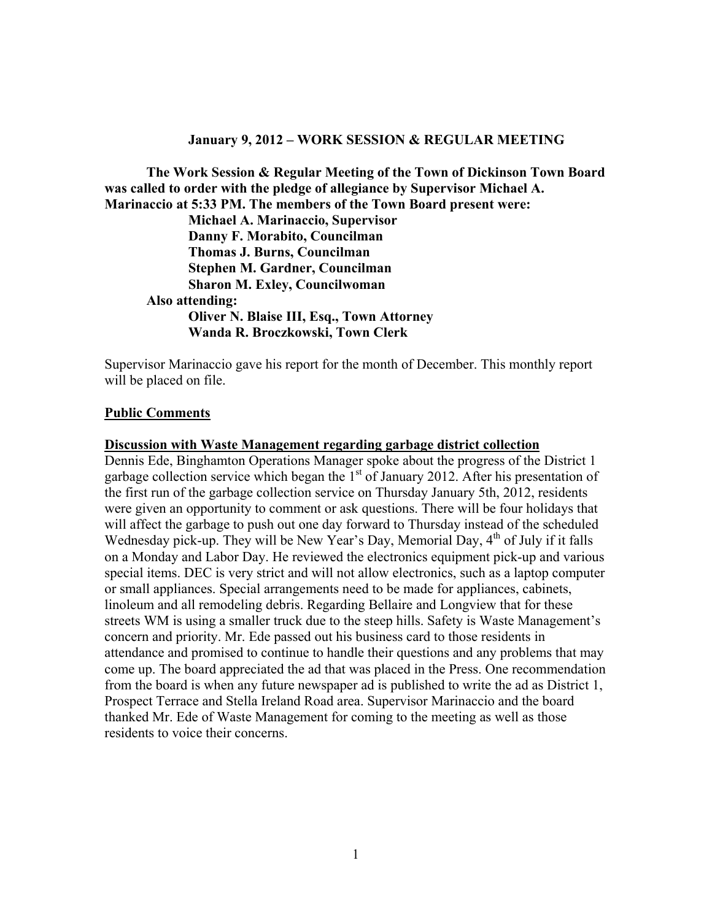#### **January 9, 2012 – WORK SESSION & REGULAR MEETING**

**The Work Session & Regular Meeting of the Town of Dickinson Town Board was called to order with the pledge of allegiance by Supervisor Michael A. Marinaccio at 5:33 PM. The members of the Town Board present were:** 

 **Michael A. Marinaccio, Supervisor Danny F. Morabito, Councilman Thomas J. Burns, Councilman Stephen M. Gardner, Councilman Sharon M. Exley, Councilwoman Also attending: Oliver N. Blaise III, Esq., Town Attorney Wanda R. Broczkowski, Town Clerk** 

Supervisor Marinaccio gave his report for the month of December. This monthly report will be placed on file.

#### **Public Comments**

#### **Discussion with Waste Management regarding garbage district collection**

Dennis Ede, Binghamton Operations Manager spoke about the progress of the District 1 garbage collection service which began the  $1<sup>st</sup>$  of January 2012. After his presentation of the first run of the garbage collection service on Thursday January 5th, 2012, residents were given an opportunity to comment or ask questions. There will be four holidays that will affect the garbage to push out one day forward to Thursday instead of the scheduled Wednesday pick-up. They will be New Year's Day, Memorial Day, 4<sup>th</sup> of July if it falls on a Monday and Labor Day. He reviewed the electronics equipment pick-up and various special items. DEC is very strict and will not allow electronics, such as a laptop computer or small appliances. Special arrangements need to be made for appliances, cabinets, linoleum and all remodeling debris. Regarding Bellaire and Longview that for these streets WM is using a smaller truck due to the steep hills. Safety is Waste Management's concern and priority. Mr. Ede passed out his business card to those residents in attendance and promised to continue to handle their questions and any problems that may come up. The board appreciated the ad that was placed in the Press. One recommendation from the board is when any future newspaper ad is published to write the ad as District 1, Prospect Terrace and Stella Ireland Road area. Supervisor Marinaccio and the board thanked Mr. Ede of Waste Management for coming to the meeting as well as those residents to voice their concerns.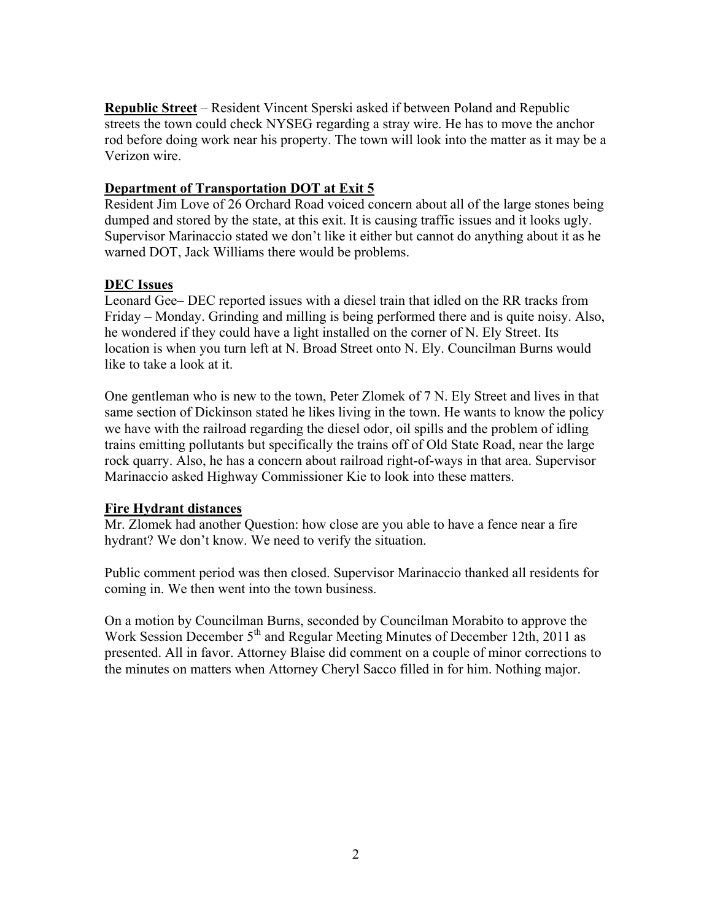**Republic Street** – Resident Vincent Sperski asked if between Poland and Republic streets the town could check NYSEG regarding a stray wire. He has to move the anchor rod before doing work near his property. The town will look into the matter as it may be a Verizon wire.

# **Department of Transportation DOT at Exit 5**

Resident Jim Love of 26 Orchard Road voiced concern about all of the large stones being dumped and stored by the state, at this exit. It is causing traffic issues and it looks ugly. Supervisor Marinaccio stated we don't like it either but cannot do anything about it as he warned DOT, Jack Williams there would be problems.

# **DEC Issues**

Leonard Gee– DEC reported issues with a diesel train that idled on the RR tracks from Friday – Monday. Grinding and milling is being performed there and is quite noisy. Also, he wondered if they could have a light installed on the corner of N. Ely Street. Its location is when you turn left at N. Broad Street onto N. Ely. Councilman Burns would like to take a look at it.

One gentleman who is new to the town, Peter Zlomek of 7 N. Ely Street and lives in that same section of Dickinson stated he likes living in the town. He wants to know the policy we have with the railroad regarding the diesel odor, oil spills and the problem of idling trains emitting pollutants but specifically the trains off of Old State Road, near the large rock quarry. Also, he has a concern about railroad right-of-ways in that area. Supervisor Marinaccio asked Highway Commissioner Kie to look into these matters.

# **Fire Hydrant distances**

Mr. Zlomek had another Question: how close are you able to have a fence near a fire hydrant? We don't know. We need to verify the situation.

Public comment period was then closed. Supervisor Marinaccio thanked all residents for coming in. We then went into the town business.

On a motion by Councilman Burns, seconded by Councilman Morabito to approve the Work Session December  $5<sup>th</sup>$  and Regular Meeting Minutes of December 12th, 2011 as presented. All in favor. Attorney Blaise did comment on a couple of minor corrections to the minutes on matters when Attorney Cheryl Sacco filled in for him. Nothing major.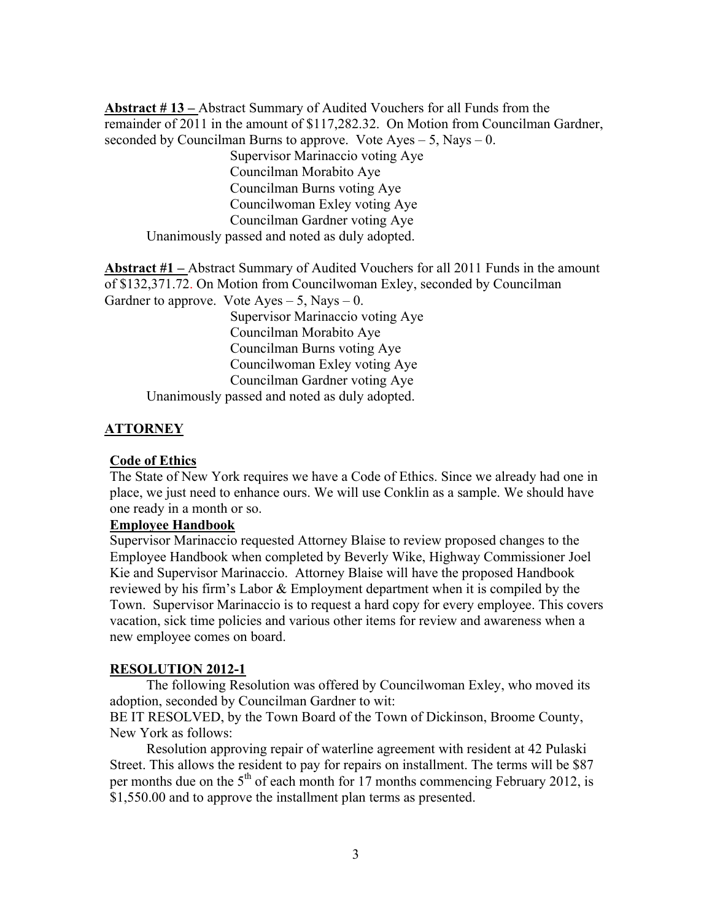**Abstract # 13 –** Abstract Summary of Audited Vouchers for all Funds from the remainder of 2011 in the amount of \$117,282.32. On Motion from Councilman Gardner, seconded by Councilman Burns to approve. Vote  $Ayes - 5$ , Nays  $- 0$ . Supervisor Marinaccio voting Aye Councilman Morabito Aye Councilman Burns voting Aye Councilwoman Exley voting Aye Councilman Gardner voting Aye Unanimously passed and noted as duly adopted.

**Abstract #1 –** Abstract Summary of Audited Vouchers for all 2011 Funds in the amount of \$132,371.72. On Motion from Councilwoman Exley, seconded by Councilman Gardner to approve. Vote  $Ayes - 5$ , Nays  $- 0$ . Supervisor Marinaccio voting Aye

 Councilman Morabito Aye Councilman Burns voting Aye Councilwoman Exley voting Aye Councilman Gardner voting Aye Unanimously passed and noted as duly adopted.

## **ATTORNEY**

#### **Code of Ethics**

The State of New York requires we have a Code of Ethics. Since we already had one in place, we just need to enhance ours. We will use Conklin as a sample. We should have one ready in a month or so.

### **Employee Handbook**

Supervisor Marinaccio requested Attorney Blaise to review proposed changes to the Employee Handbook when completed by Beverly Wike, Highway Commissioner Joel Kie and Supervisor Marinaccio. Attorney Blaise will have the proposed Handbook reviewed by his firm's Labor & Employment department when it is compiled by the Town. Supervisor Marinaccio is to request a hard copy for every employee. This covers vacation, sick time policies and various other items for review and awareness when a new employee comes on board.

#### **RESOLUTION 2012-1**

 The following Resolution was offered by Councilwoman Exley, who moved its adoption, seconded by Councilman Gardner to wit:

BE IT RESOLVED, by the Town Board of the Town of Dickinson, Broome County, New York as follows:

 Resolution approving repair of waterline agreement with resident at 42 Pulaski Street. This allows the resident to pay for repairs on installment. The terms will be \$87 per months due on the  $5<sup>th</sup>$  of each month for 17 months commencing February 2012, is \$1,550.00 and to approve the installment plan terms as presented.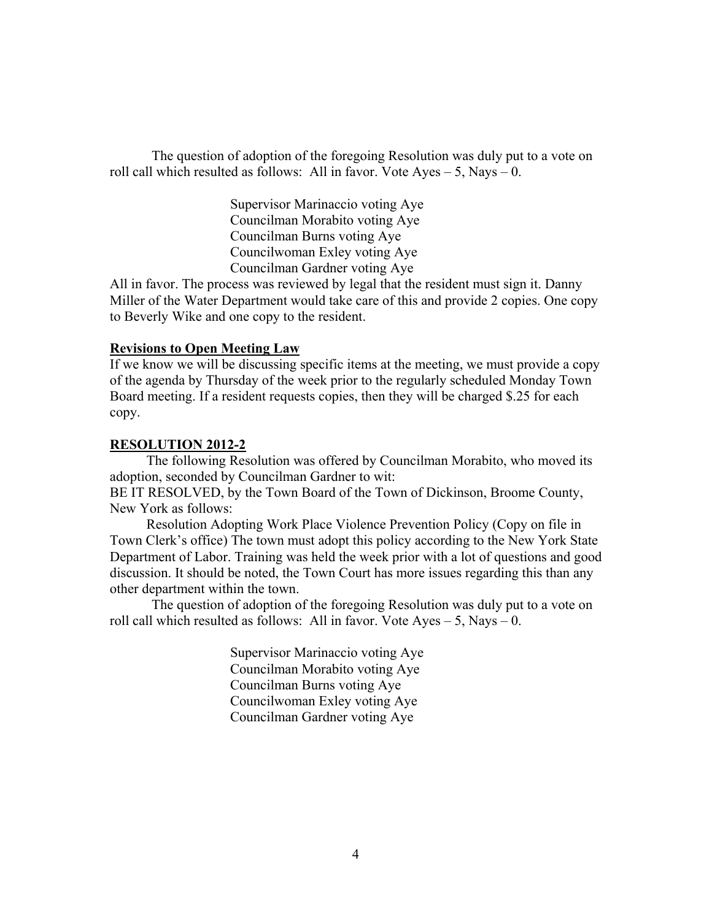The question of adoption of the foregoing Resolution was duly put to a vote on roll call which resulted as follows: All in favor. Vote  $Ayes - 5$ , Nays  $- 0$ .

> Supervisor Marinaccio voting Aye Councilman Morabito voting Aye Councilman Burns voting Aye Councilwoman Exley voting Aye Councilman Gardner voting Aye

All in favor. The process was reviewed by legal that the resident must sign it. Danny Miller of the Water Department would take care of this and provide 2 copies. One copy to Beverly Wike and one copy to the resident.

### **Revisions to Open Meeting Law**

If we know we will be discussing specific items at the meeting, we must provide a copy of the agenda by Thursday of the week prior to the regularly scheduled Monday Town Board meeting. If a resident requests copies, then they will be charged \$.25 for each copy.

#### **RESOLUTION 2012-2**

 The following Resolution was offered by Councilman Morabito, who moved its adoption, seconded by Councilman Gardner to wit:

BE IT RESOLVED, by the Town Board of the Town of Dickinson, Broome County, New York as follows:

Resolution Adopting Work Place Violence Prevention Policy (Copy on file in Town Clerk's office) The town must adopt this policy according to the New York State Department of Labor. Training was held the week prior with a lot of questions and good discussion. It should be noted, the Town Court has more issues regarding this than any other department within the town.

The question of adoption of the foregoing Resolution was duly put to a vote on roll call which resulted as follows: All in favor. Vote  $Ayes - 5$ , Nays  $- 0$ .

> Supervisor Marinaccio voting Aye Councilman Morabito voting Aye Councilman Burns voting Aye Councilwoman Exley voting Aye Councilman Gardner voting Aye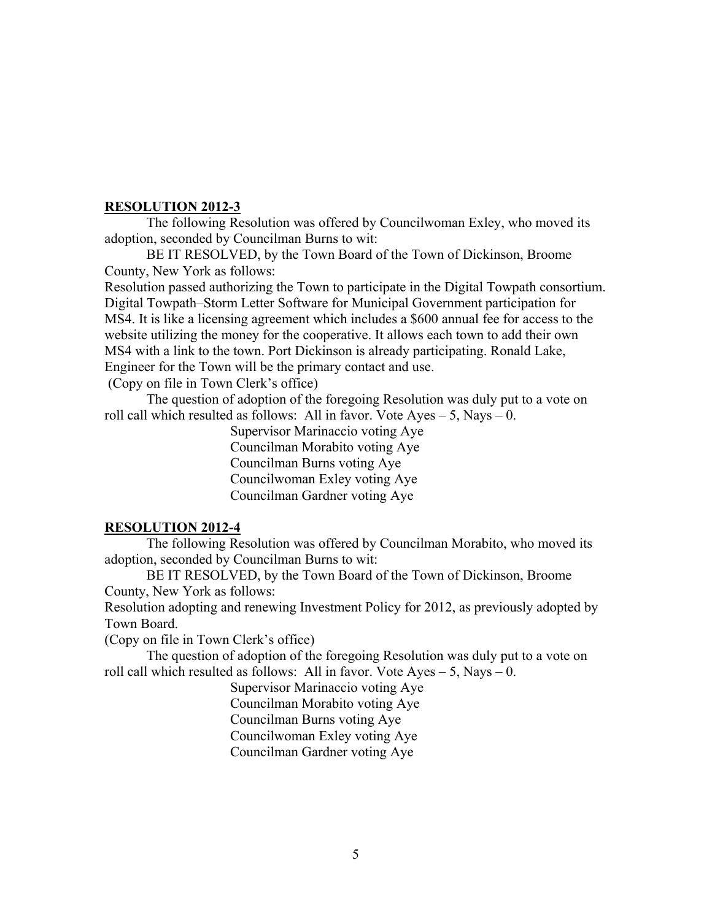## **RESOLUTION 2012-3**

The following Resolution was offered by Councilwoman Exley, who moved its adoption, seconded by Councilman Burns to wit:

BE IT RESOLVED, by the Town Board of the Town of Dickinson, Broome County, New York as follows:

Resolution passed authorizing the Town to participate in the Digital Towpath consortium. Digital Towpath–Storm Letter Software for Municipal Government participation for MS4. It is like a licensing agreement which includes a \$600 annual fee for access to the website utilizing the money for the cooperative. It allows each town to add their own MS4 with a link to the town. Port Dickinson is already participating. Ronald Lake, Engineer for the Town will be the primary contact and use.

(Copy on file in Town Clerk's office)

The question of adoption of the foregoing Resolution was duly put to a vote on roll call which resulted as follows: All in favor. Vote  $Ayes - 5$ , Nays  $- 0$ .

Supervisor Marinaccio voting Aye Councilman Morabito voting Aye Councilman Burns voting Aye Councilwoman Exley voting Aye Councilman Gardner voting Aye

# **RESOLUTION 2012-4**

The following Resolution was offered by Councilman Morabito, who moved its adoption, seconded by Councilman Burns to wit:

BE IT RESOLVED, by the Town Board of the Town of Dickinson, Broome County, New York as follows:

Resolution adopting and renewing Investment Policy for 2012, as previously adopted by Town Board.

(Copy on file in Town Clerk's office)

The question of adoption of the foregoing Resolution was duly put to a vote on roll call which resulted as follows: All in favor. Vote  $Ayes - 5$ , Nays  $- 0$ .

Supervisor Marinaccio voting Aye Councilman Morabito voting Aye Councilman Burns voting Aye Councilwoman Exley voting Aye Councilman Gardner voting Aye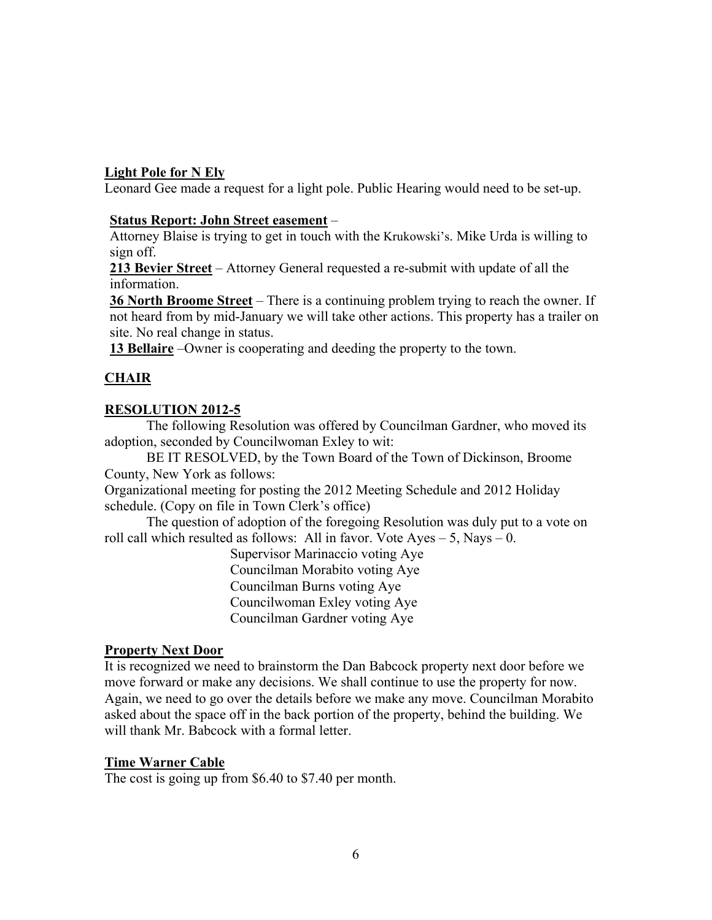## **Light Pole for N Ely**

Leonard Gee made a request for a light pole. Public Hearing would need to be set-up.

### **Status Report: John Street easement** –

Attorney Blaise is trying to get in touch with the Krukowski's. Mike Urda is willing to sign off.

**213 Bevier Street** – Attorney General requested a re-submit with update of all the information.

**36 North Broome Street** – There is a continuing problem trying to reach the owner. If not heard from by mid-January we will take other actions. This property has a trailer on site. No real change in status.

**13 Bellaire** –Owner is cooperating and deeding the property to the town.

# **CHAIR**

# **RESOLUTION 2012-5**

The following Resolution was offered by Councilman Gardner, who moved its adoption, seconded by Councilwoman Exley to wit:

BE IT RESOLVED, by the Town Board of the Town of Dickinson, Broome County, New York as follows:

Organizational meeting for posting the 2012 Meeting Schedule and 2012 Holiday schedule. (Copy on file in Town Clerk's office)

The question of adoption of the foregoing Resolution was duly put to a vote on roll call which resulted as follows: All in favor. Vote  $Ayes - 5$ , Nays  $- 0$ .

> Supervisor Marinaccio voting Aye Councilman Morabito voting Aye Councilman Burns voting Aye Councilwoman Exley voting Aye Councilman Gardner voting Aye

# **Property Next Door**

It is recognized we need to brainstorm the Dan Babcock property next door before we move forward or make any decisions. We shall continue to use the property for now. Again, we need to go over the details before we make any move. Councilman Morabito asked about the space off in the back portion of the property, behind the building. We will thank Mr. Babcock with a formal letter.

### **Time Warner Cable**

The cost is going up from \$6.40 to \$7.40 per month.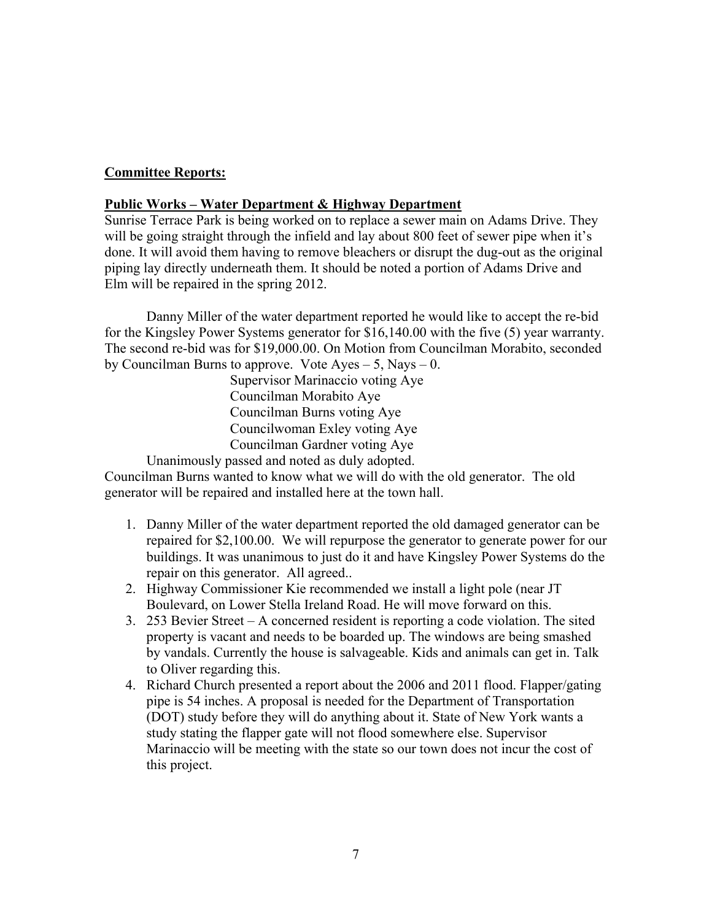# **Committee Reports:**

## **Public Works – Water Department & Highway Department**

Sunrise Terrace Park is being worked on to replace a sewer main on Adams Drive. They will be going straight through the infield and lay about 800 feet of sewer pipe when it's done. It will avoid them having to remove bleachers or disrupt the dug-out as the original piping lay directly underneath them. It should be noted a portion of Adams Drive and Elm will be repaired in the spring 2012.

Danny Miller of the water department reported he would like to accept the re-bid for the Kingsley Power Systems generator for \$16,140.00 with the five (5) year warranty. The second re-bid was for \$19,000.00. On Motion from Councilman Morabito, seconded by Councilman Burns to approve. Vote  $Ayes - 5$ , Nays  $-0$ .

 Supervisor Marinaccio voting Aye Councilman Morabito Aye Councilman Burns voting Aye Councilwoman Exley voting Aye Councilman Gardner voting Aye

Unanimously passed and noted as duly adopted.

Councilman Burns wanted to know what we will do with the old generator. The old generator will be repaired and installed here at the town hall.

- 1. Danny Miller of the water department reported the old damaged generator can be repaired for \$2,100.00. We will repurpose the generator to generate power for our buildings. It was unanimous to just do it and have Kingsley Power Systems do the repair on this generator. All agreed..
- 2. Highway Commissioner Kie recommended we install a light pole (near JT Boulevard, on Lower Stella Ireland Road. He will move forward on this.
- 3. 253 Bevier Street A concerned resident is reporting a code violation. The sited property is vacant and needs to be boarded up. The windows are being smashed by vandals. Currently the house is salvageable. Kids and animals can get in. Talk to Oliver regarding this.
- 4. Richard Church presented a report about the 2006 and 2011 flood. Flapper/gating pipe is 54 inches. A proposal is needed for the Department of Transportation (DOT) study before they will do anything about it. State of New York wants a study stating the flapper gate will not flood somewhere else. Supervisor Marinaccio will be meeting with the state so our town does not incur the cost of this project.